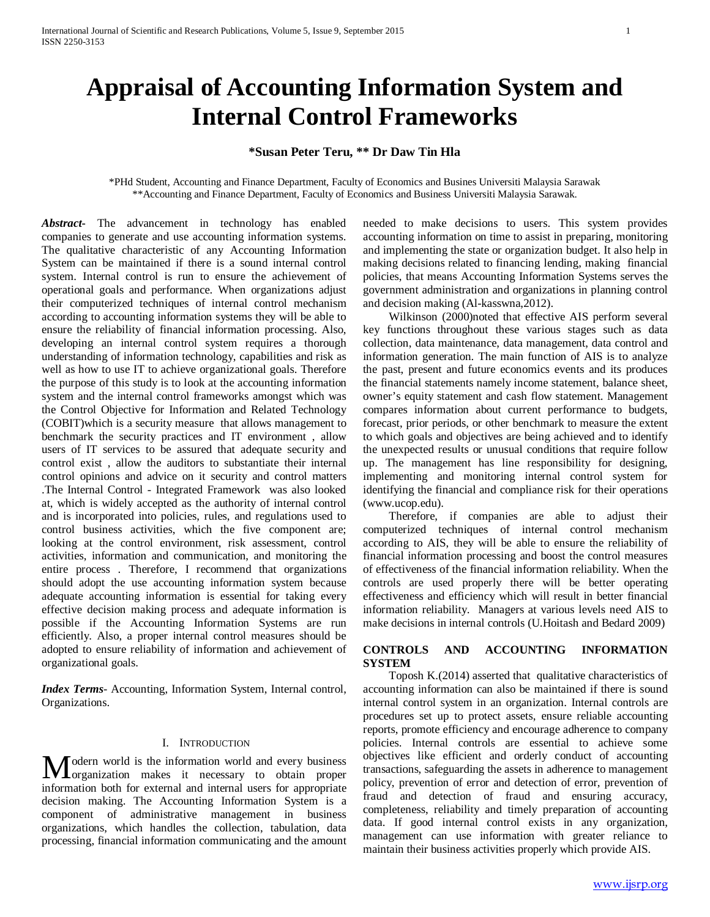# **Appraisal of Accounting Information System and Internal Control Frameworks**

## **\*Susan Peter Teru, \*\* Dr Daw Tin Hla**

\*PHd Student, Accounting and Finance Department, Faculty of Economics and Busines Universiti Malaysia Sarawak \*\*Accounting and Finance Department, Faculty of Economics and Business Universiti Malaysia Sarawak.

*Abstract***-** The advancement in technology has enabled companies to generate and use accounting information systems. The qualitative characteristic of any Accounting Information System can be maintained if there is a sound internal control system. Internal control is run to ensure the achievement of operational goals and performance. When organizations adjust their computerized techniques of internal control mechanism according to accounting information systems they will be able to ensure the reliability of financial information processing. Also, developing an internal control system requires a thorough understanding of information technology, capabilities and risk as well as how to use IT to achieve organizational goals. Therefore the purpose of this study is to look at the accounting information system and the internal control frameworks amongst which was the Control Objective for Information and Related Technology (COBIT)which is a security measure that allows management to benchmark the security practices and IT environment , allow users of IT services to be assured that adequate security and control exist , allow the auditors to substantiate their internal control opinions and advice on it security and control matters .The Internal Control - Integrated Framework was also looked at, which is widely accepted as the authority of internal control and is incorporated into policies, rules, and regulations used to control business activities, which the five component are; looking at the control environment, risk assessment, control activities, information and communication, and monitoring the entire process . Therefore, I recommend that organizations should adopt the use accounting information system because adequate accounting information is essential for taking every effective decision making process and adequate information is possible if the Accounting Information Systems are run efficiently. Also, a proper internal control measures should be adopted to ensure reliability of information and achievement of organizational goals.

*Index Terms*- Accounting, Information System, Internal control, Organizations.

#### I. INTRODUCTION

odern world is the information world and every business Modern world is the information world and every business<br>
organization makes it necessary to obtain proper information both for external and internal users for appropriate decision making. The Accounting Information System is a component of administrative management in business organizations, which handles the collection, tabulation, data processing, financial information communicating and the amount

needed to make decisions to users. This system provides accounting information on time to assist in preparing, monitoring and implementing the state or organization budget. It also help in making decisions related to financing lending, making financial policies, that means Accounting Information Systems serves the government administration and organizations in planning control and decision making (Al-kasswna,2012).

 Wilkinson (2000)noted that effective AIS perform several key functions throughout these various stages such as data collection, data maintenance, data management, data control and information generation. The main function of AIS is to analyze the past, present and future economics events and its produces the financial statements namely income statement, balance sheet, owner's equity statement and cash flow statement. Management compares information about current performance to budgets, forecast, prior periods, or other benchmark to measure the extent to which goals and objectives are being achieved and to identify the unexpected results or unusual conditions that require follow up. The management has line responsibility for designing, implementing and monitoring internal control system for identifying the financial and compliance risk for their operations (www.ucop.edu).

 Therefore, if companies are able to adjust their computerized techniques of internal control mechanism according to AIS, they will be able to ensure the reliability of financial information processing and boost the control measures of effectiveness of the financial information reliability. When the controls are used properly there will be better operating effectiveness and efficiency which will result in better financial information reliability. Managers at various levels need AIS to make decisions in internal controls (U.Hoitash and Bedard 2009)

## **CONTROLS AND ACCOUNTING INFORMATION SYSTEM**

 Toposh K.(2014) asserted that qualitative characteristics of accounting information can also be maintained if there is sound internal control system in an organization. Internal controls are procedures set up to protect assets, ensure reliable accounting reports, promote efficiency and encourage adherence to company policies. Internal controls are essential to achieve some objectives like efficient and orderly conduct of accounting transactions, safeguarding the assets in adherence to management policy, prevention of error and detection of error, prevention of fraud and detection of fraud and ensuring accuracy, completeness, reliability and timely preparation of accounting data. If good internal control exists in any organization, management can use information with greater reliance to maintain their business activities properly which provide AIS.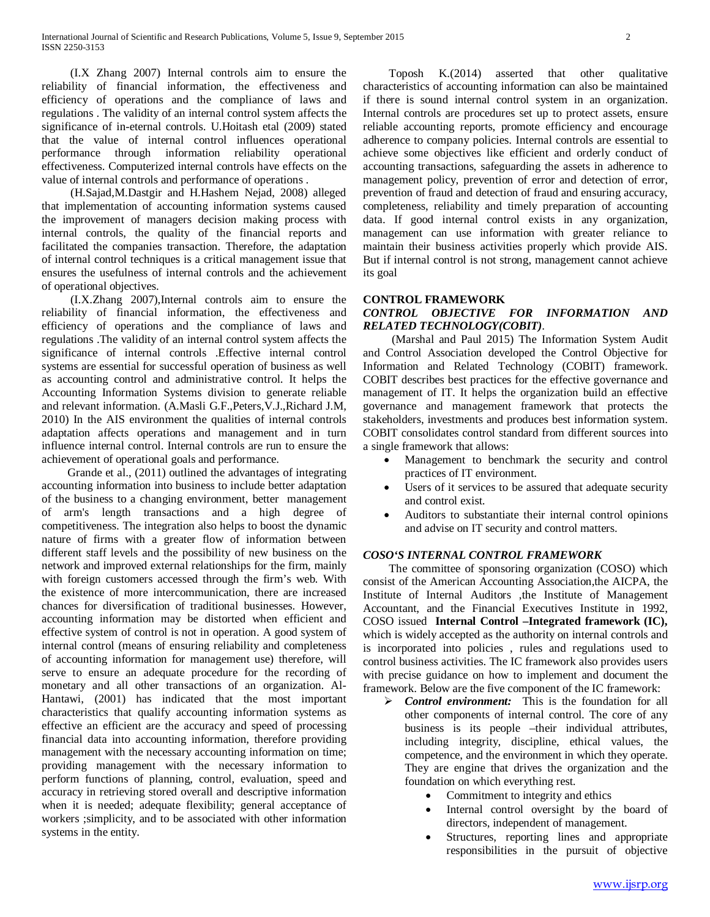(I.X Zhang 2007) Internal controls aim to ensure the reliability of financial information, the effectiveness and efficiency of operations and the compliance of laws and regulations . The validity of an internal control system affects the significance of in-eternal controls. U.Hoitash etal (2009) stated that the value of internal control influences operational performance through information reliability operational effectiveness. Computerized internal controls have effects on the value of internal controls and performance of operations .

 (H.Sajad,M.Dastgir and H.Hashem Nejad, 2008) alleged that implementation of accounting information systems caused the improvement of managers decision making process with internal controls, the quality of the financial reports and facilitated the companies transaction. Therefore, the adaptation of internal control techniques is a critical management issue that ensures the usefulness of internal controls and the achievement of operational objectives.

 (I.X.Zhang 2007),Internal controls aim to ensure the reliability of financial information, the effectiveness and efficiency of operations and the compliance of laws and regulations .The validity of an internal control system affects the significance of internal controls .Effective internal control systems are essential for successful operation of business as well as accounting control and administrative control. It helps the Accounting Information Systems division to generate reliable and relevant information. (A.Masli G.F.,Peters,V.J.,Richard J.M, 2010) In the AIS environment the qualities of internal controls adaptation affects operations and management and in turn influence internal control. Internal controls are run to ensure the achievement of operational goals and performance.

 Grande et al., (2011) outlined the advantages of integrating accounting information into business to include better adaptation of the business to a changing environment, better management of arm's length transactions and a high degree of competitiveness. The integration also helps to boost the dynamic nature of firms with a greater flow of information between different staff levels and the possibility of new business on the network and improved external relationships for the firm, mainly with foreign customers accessed through the firm's web*.* With the existence of more intercommunication, there are increased chances for diversification of traditional businesses. However, accounting information may be distorted when efficient and effective system of control is not in operation. A good system of internal control (means of ensuring reliability and completeness of accounting information for management use) therefore, will serve to ensure an adequate procedure for the recording of monetary and all other transactions of an organization. Al-Hantawi, (2001) has indicated that the most important characteristics that qualify accounting information systems as effective an efficient are the accuracy and speed of processing financial data into accounting information, therefore providing management with the necessary accounting information on time; providing management with the necessary information to perform functions of planning, control, evaluation, speed and accuracy in retrieving stored overall and descriptive information when it is needed; adequate flexibility; general acceptance of workers ;simplicity, and to be associated with other information systems in the entity.

 Toposh K.(2014) asserted that other qualitative characteristics of accounting information can also be maintained if there is sound internal control system in an organization. Internal controls are procedures set up to protect assets, ensure reliable accounting reports, promote efficiency and encourage adherence to company policies. Internal controls are essential to achieve some objectives like efficient and orderly conduct of accounting transactions, safeguarding the assets in adherence to management policy, prevention of error and detection of error, prevention of fraud and detection of fraud and ensuring accuracy, completeness, reliability and timely preparation of accounting data. If good internal control exists in any organization, management can use information with greater reliance to maintain their business activities properly which provide AIS. But if internal control is not strong, management cannot achieve its goal

#### **CONTROL FRAMEWORK**

## *CONTROL OBJECTIVE FOR INFORMATION AND RELATED TECHNOLOGY(COBIT)*.

 (Marshal and Paul 2015) The Information System Audit and Control Association developed the Control Objective for Information and Related Technology (COBIT) framework. COBIT describes best practices for the effective governance and management of IT. It helps the organization build an effective governance and management framework that protects the stakeholders, investments and produces best information system. COBIT consolidates control standard from different sources into a single framework that allows:

- Management to benchmark the security and control practices of IT environment.
- Users of it services to be assured that adequate security and control exist.
- Auditors to substantiate their internal control opinions and advise on IT security and control matters.

## *COSO'S INTERNAL CONTROL FRAMEWORK*

 The committee of sponsoring organization (COSO) which consist of the American Accounting Association,the AICPA, the Institute of Internal Auditors ,the Institute of Management Accountant, and the Financial Executives Institute in 1992, COSO issued **Internal Control –Integrated framework (IC),**  which is widely accepted as the authority on internal controls and is incorporated into policies , rules and regulations used to control business activities. The IC framework also provides users with precise guidance on how to implement and document the framework. Below are the five component of the IC framework:

- *Control environment:* This is the foundation for all other components of internal control. The core of any business is its people –their individual attributes, including integrity, discipline, ethical values, the competence, and the environment in which they operate. They are engine that drives the organization and the foundation on which everything rest.
	- Commitment to integrity and ethics
	- Internal control oversight by the board of directors, independent of management.
	- Structures, reporting lines and appropriate responsibilities in the pursuit of objective